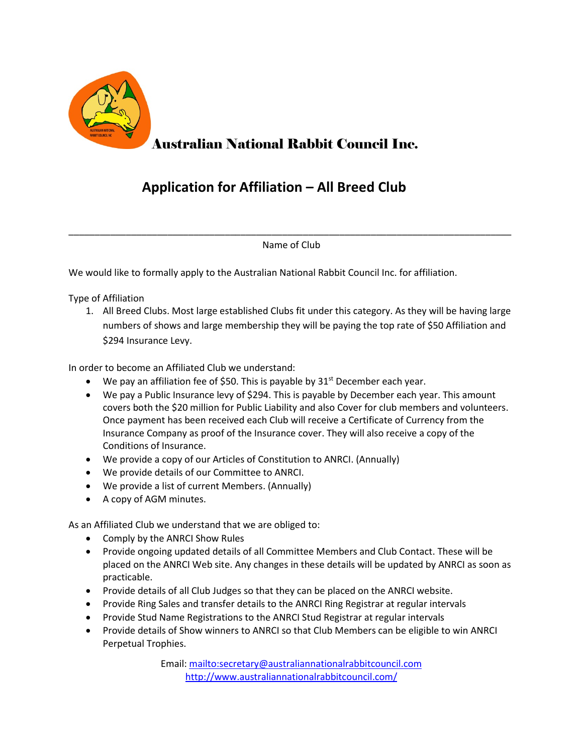

## Australian National Rabbit Council Inc.

## **Application for Affiliation – All Breed Club**

\_\_\_\_\_\_\_\_\_\_\_\_\_\_\_\_\_\_\_\_\_\_\_\_\_\_\_\_\_\_\_\_\_\_\_\_\_\_\_\_\_\_\_\_\_\_\_\_\_\_\_\_\_\_\_\_\_\_\_\_\_\_\_\_\_\_\_\_\_\_\_\_\_\_\_\_\_\_\_\_\_\_\_\_\_ Name of Club

We would like to formally apply to the Australian National Rabbit Council Inc. for affiliation.

Type of Affiliation

1. All Breed Clubs. Most large established Clubs fit under this category. As they will be having large numbers of shows and large membership they will be paying the top rate of \$50 Affiliation and \$294 Insurance Levy.

In order to become an Affiliated Club we understand:

- We pay an affiliation fee of \$50. This is payable by  $31<sup>st</sup>$  December each year.
- We pay a Public Insurance levy of \$294. This is payable by December each year. This amount covers both the \$20 million for Public Liability and also Cover for club members and volunteers. Once payment has been received each Club will receive a Certificate of Currency from the Insurance Company as proof of the Insurance cover. They will also receive a copy of the Conditions of Insurance.
- We provide a copy of our Articles of Constitution to ANRCI. (Annually)
- We provide details of our Committee to ANRCI.
- We provide a list of current Members. (Annually)
- A copy of AGM minutes.

As an Affiliated Club we understand that we are obliged to:

- Comply by the ANRCI Show Rules
- Provide ongoing updated details of all Committee Members and Club Contact. These will be placed on the ANRCI Web site. Any changes in these details will be updated by ANRCI as soon as practicable.
- Provide details of all Club Judges so that they can be placed on the ANRCI website.
- Provide Ring Sales and transfer details to the ANRCI Ring Registrar at regular intervals
- Provide Stud Name Registrations to the ANRCI Stud Registrar at regular intervals
- Provide details of Show winners to ANRCI so that Club Members can be eligible to win ANRCI Perpetual Trophies.

Email:<mailto:secretary@australiannationalrabbitcouncil.com> <http://www.australiannationalrabbitcouncil.com/>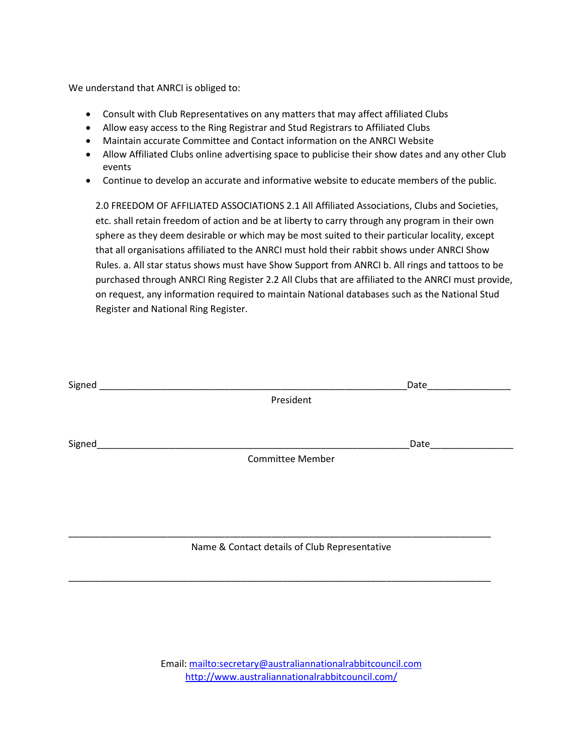We understand that ANRCI is obliged to:

- Consult with Club Representatives on any matters that may affect affiliated Clubs
- Allow easy access to the Ring Registrar and Stud Registrars to Affiliated Clubs
- Maintain accurate Committee and Contact information on the ANRCI Website
- Allow Affiliated Clubs online advertising space to publicise their show dates and any other Club events
- Continue to develop an accurate and informative website to educate members of the public.

2.0 FREEDOM OF AFFILIATED ASSOCIATIONS 2.1 All Affiliated Associations, Clubs and Societies, etc. shall retain freedom of action and be at liberty to carry through any program in their own sphere as they deem desirable or which may be most suited to their particular locality, except that all organisations affiliated to the ANRCI must hold their rabbit shows under ANRCI Show Rules. a. All star status shows must have Show Support from ANRCI b. All rings and tattoos to be purchased through ANRCI Ring Register 2.2 All Clubs that are affiliated to the ANRCI must provide, on request, any information required to maintain National databases such as the National Stud Register and National Ring Register.

| Signed                                        |                         | Date |  |  |
|-----------------------------------------------|-------------------------|------|--|--|
|                                               | President               |      |  |  |
|                                               |                         |      |  |  |
| Signed                                        |                         | Date |  |  |
|                                               | <b>Committee Member</b> |      |  |  |
|                                               |                         |      |  |  |
|                                               |                         |      |  |  |
|                                               |                         |      |  |  |
|                                               |                         |      |  |  |
| Name & Contact details of Club Representative |                         |      |  |  |

Email:<mailto:secretary@australiannationalrabbitcouncil.com> <http://www.australiannationalrabbitcouncil.com/>

\_\_\_\_\_\_\_\_\_\_\_\_\_\_\_\_\_\_\_\_\_\_\_\_\_\_\_\_\_\_\_\_\_\_\_\_\_\_\_\_\_\_\_\_\_\_\_\_\_\_\_\_\_\_\_\_\_\_\_\_\_\_\_\_\_\_\_\_\_\_\_\_\_\_\_\_\_\_\_\_\_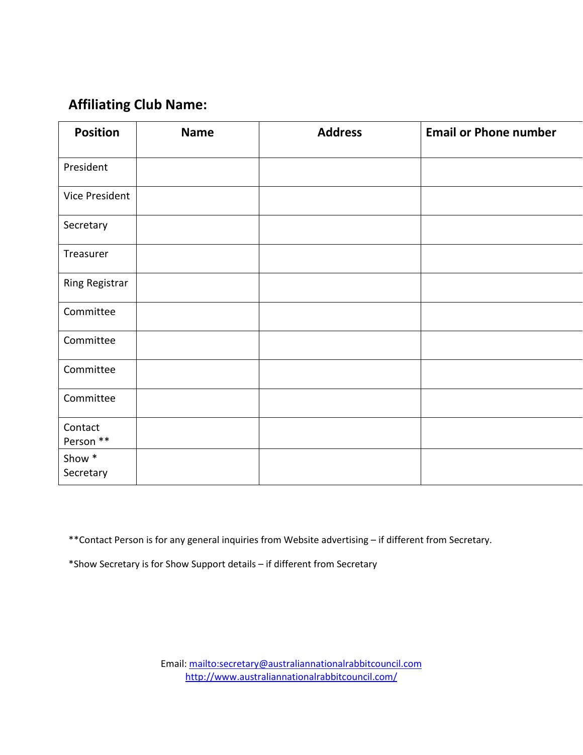## **Affiliating Club Name:**

| <b>Position</b>       | <b>Name</b> | <b>Address</b> | <b>Email or Phone number</b> |
|-----------------------|-------------|----------------|------------------------------|
| President             |             |                |                              |
| Vice President        |             |                |                              |
| Secretary             |             |                |                              |
| Treasurer             |             |                |                              |
| <b>Ring Registrar</b> |             |                |                              |
| Committee             |             |                |                              |
| Committee             |             |                |                              |
| Committee             |             |                |                              |
| Committee             |             |                |                              |
| Contact<br>Person **  |             |                |                              |
| Show *<br>Secretary   |             |                |                              |

\*\*Contact Person is for any general inquiries from Website advertising – if different from Secretary.

\*Show Secretary is for Show Support details – if different from Secretary